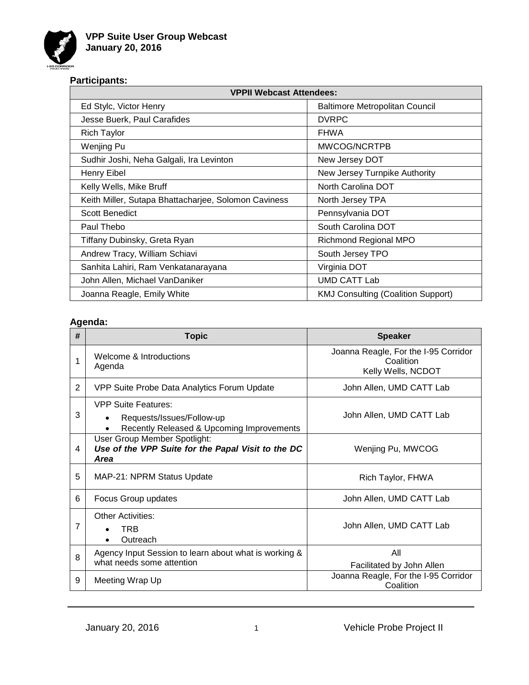

# **Participants:**

| <b>VPPII Webcast Attendees:</b>                      |                                           |  |
|------------------------------------------------------|-------------------------------------------|--|
| Ed Stylc, Victor Henry                               | Baltimore Metropolitan Council            |  |
| Jesse Buerk, Paul Carafides                          | <b>DVRPC</b>                              |  |
| Rich Taylor                                          | <b>FHWA</b>                               |  |
| Wenjing Pu                                           | MWCOG/NCRTPB                              |  |
| Sudhir Joshi, Neha Galgali, Ira Levinton             | New Jersey DOT                            |  |
| <b>Henry Eibel</b>                                   | New Jersey Turnpike Authority             |  |
| Kelly Wells, Mike Bruff                              | North Carolina DOT                        |  |
| Keith Miller, Sutapa Bhattacharjee, Solomon Caviness | North Jersey TPA                          |  |
| Scott Benedict                                       | Pennsylvania DOT                          |  |
| Paul Thebo                                           | South Carolina DOT                        |  |
| Tiffany Dubinsky, Greta Ryan                         | Richmond Regional MPO                     |  |
| Andrew Tracy, William Schiavi                        | South Jersey TPO                          |  |
| Sanhita Lahiri, Ram Venkatanarayana                  | Virginia DOT                              |  |
| John Allen, Michael VanDaniker                       | <b>UMD CATT Lab</b>                       |  |
| Joanna Reagle, Emily White                           | <b>KMJ Consulting (Coalition Support)</b> |  |

### **Agenda:**

| #              | <b>Topic</b>                                                                                         | <b>Speaker</b>                                                          |
|----------------|------------------------------------------------------------------------------------------------------|-------------------------------------------------------------------------|
| 1              | Welcome & Introductions<br>Agenda                                                                    | Joanna Reagle, For the I-95 Corridor<br>Coalition<br>Kelly Wells, NCDOT |
| $\overline{2}$ | VPP Suite Probe Data Analytics Forum Update                                                          | John Allen, UMD CATT Lab                                                |
| 3              | <b>VPP Suite Features:</b><br>Requests/Issues/Follow-up<br>Recently Released & Upcoming Improvements | John Allen, UMD CATT Lab                                                |
| 4              | User Group Member Spotlight:<br>Use of the VPP Suite for the Papal Visit to the DC<br><b>Area</b>    | Wenjing Pu, MWCOG                                                       |
| 5              | MAP-21: NPRM Status Update                                                                           | Rich Taylor, FHWA                                                       |
| 6              | Focus Group updates                                                                                  | John Allen, UMD CATT Lab                                                |
| 7              | <b>Other Activities:</b><br>TRB<br>Outreach                                                          | John Allen, UMD CATT Lab                                                |
| 8              | Agency Input Session to learn about what is working &<br>what needs some attention                   | All<br>Facilitated by John Allen                                        |
| 9              | Meeting Wrap Up                                                                                      | Joanna Reagle, For the I-95 Corridor<br>Coalition                       |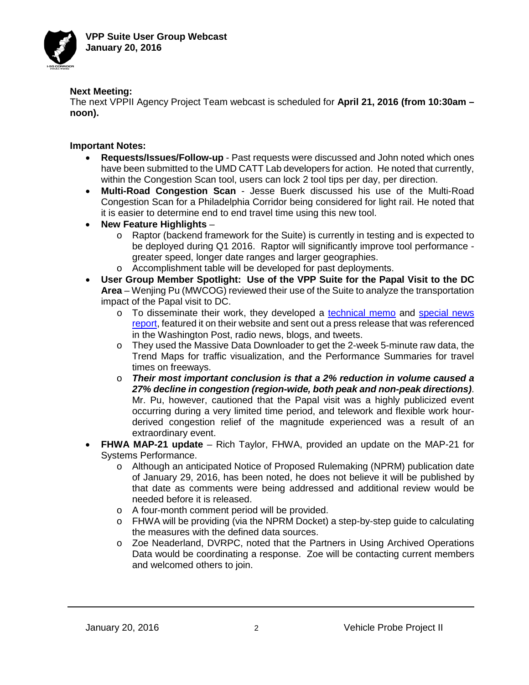

### **Next Meeting:**

The next VPPII Agency Project Team webcast is scheduled for **April 21, 2016 (from 10:30am – noon).**

**Important Notes:**

- **Requests/Issues/Follow-up**  Past requests were discussed and John noted which ones have been submitted to the UMD CATT Lab developers for action. He noted that currently, within the Congestion Scan tool, users can lock 2 tool tips per day, per direction.
- **Multi-Road Congestion Scan** Jesse Buerk discussed his use of the Multi-Road Congestion Scan for a Philadelphia Corridor being considered for light rail. He noted that it is easier to determine end to end travel time using this new tool.
- **New Feature Highlights**
	- o Raptor (backend framework for the Suite) is currently in testing and is expected to be deployed during Q1 2016. Raptor will significantly improve tool performance greater speed, longer date ranges and larger geographies.
	- o Accomplishment table will be developed for past deployments.
- **User Group Member Spotlight: Use of the VPP Suite for the Papal Visit to the DC Area** – Wenjing Pu (MWCOG) reviewed their use of the Suite to analyze the transportation impact of the Papal visit to DC.
	- o To disseminate their work, they developed a [technical memo](http://www.mwcog.org/transportation/weeklyreport/2015/files/10-20/PapalVisit_FullMemo.pdf) and [special news](http://www.mwcog.org/transportation/weeklyreport/)  [report,](http://www.mwcog.org/transportation/weeklyreport/) featured it on their website and sent out a press release that was referenced in the Washington Post, radio news, blogs, and tweets.
	- o They used the Massive Data Downloader to get the 2-week 5-minute raw data, the Trend Maps for traffic visualization, and the Performance Summaries for travel times on freeways.
	- o *Their most important conclusion is that a 2% reduction in volume caused a 27% decline in congestion (region-wide, both peak and non-peak directions)*. Mr. Pu, however, cautioned that the Papal visit was a highly publicized event occurring during a very limited time period, and telework and flexible work hourderived congestion relief of the magnitude experienced was a result of an extraordinary event.
- **FHWA MAP-21 update** Rich Taylor, FHWA, provided an update on the MAP-21 for Systems Performance.
	- o Although an anticipated Notice of Proposed Rulemaking (NPRM) publication date of January 29, 2016, has been noted, he does not believe it will be published by that date as comments were being addressed and additional review would be needed before it is released.
	- o A four-month comment period will be provided.
	- o FHWA will be providing (via the NPRM Docket) a step-by-step guide to calculating the measures with the defined data sources.
	- o Zoe Neaderland, DVRPC, noted that the Partners in Using Archived Operations Data would be coordinating a response. Zoe will be contacting current members and welcomed others to join.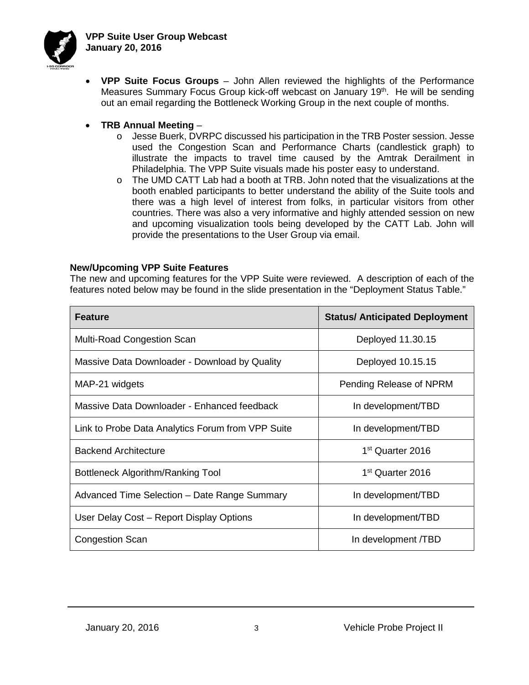

- **VPP Suite Focus Groups** John Allen reviewed the highlights of the Performance Measures Summary Focus Group kick-off webcast on January 19<sup>th</sup>. He will be sending out an email regarding the Bottleneck Working Group in the next couple of months.
- **TRB Annual Meeting**
	- o Jesse Buerk, DVRPC discussed his participation in the TRB Poster session. Jesse used the Congestion Scan and Performance Charts (candlestick graph) to illustrate the impacts to travel time caused by the Amtrak Derailment in Philadelphia. The VPP Suite visuals made his poster easy to understand.
	- $\circ$  The UMD CATT Lab had a booth at TRB. John noted that the visualizations at the booth enabled participants to better understand the ability of the Suite tools and there was a high level of interest from folks, in particular visitors from other countries. There was also a very informative and highly attended session on new and upcoming visualization tools being developed by the CATT Lab. John will provide the presentations to the User Group via email.

### **New/Upcoming VPP Suite Features**

The new and upcoming features for the VPP Suite were reviewed. A description of each of the features noted below may be found in the slide presentation in the "Deployment Status Table."

| <b>Feature</b>                                    | <b>Status/ Anticipated Deployment</b> |
|---------------------------------------------------|---------------------------------------|
| <b>Multi-Road Congestion Scan</b>                 | Deployed 11.30.15                     |
| Massive Data Downloader - Download by Quality     | Deployed 10.15.15                     |
| MAP-21 widgets                                    | Pending Release of NPRM               |
| Massive Data Downloader - Enhanced feedback       | In development/TBD                    |
| Link to Probe Data Analytics Forum from VPP Suite | In development/TBD                    |
| <b>Backend Architecture</b>                       | 1 <sup>st</sup> Quarter 2016          |
| Bottleneck Algorithm/Ranking Tool                 | 1 <sup>st</sup> Quarter 2016          |
| Advanced Time Selection – Date Range Summary      | In development/TBD                    |
| User Delay Cost - Report Display Options          | In development/TBD                    |
| <b>Congestion Scan</b>                            | In development /TBD                   |